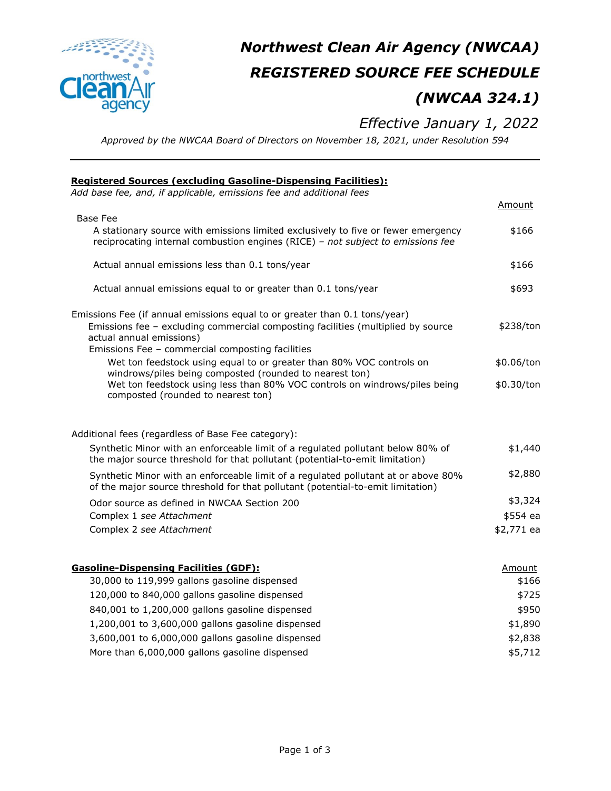

# *Northwest Clean Air Agency (NWCAA) REGISTERED SOURCE FEE SCHEDULE (NWCAA 324.1)*

## *Effective January 1, 2022*

*Approved by the NWCAA Board of Directors on November 18, 2021, under Resolution 594*

| <b>Registered Sources (excluding Gasoline-Dispensing Facilities):</b>                                                                                                                                                                          |            |
|------------------------------------------------------------------------------------------------------------------------------------------------------------------------------------------------------------------------------------------------|------------|
| Add base fee, and, if applicable, emissions fee and additional fees                                                                                                                                                                            | Amount     |
| <b>Base Fee</b>                                                                                                                                                                                                                                |            |
| A stationary source with emissions limited exclusively to five or fewer emergency<br>reciprocating internal combustion engines (RICE) - not subject to emissions fee                                                                           | \$166      |
| Actual annual emissions less than 0.1 tons/year                                                                                                                                                                                                | \$166      |
| Actual annual emissions equal to or greater than 0.1 tons/year                                                                                                                                                                                 | \$693      |
| Emissions Fee (if annual emissions equal to or greater than 0.1 tons/year)<br>Emissions fee - excluding commercial composting facilities (multiplied by source<br>actual annual emissions)<br>Emissions Fee - commercial composting facilities | \$238/ton  |
| Wet ton feedstock using equal to or greater than 80% VOC controls on                                                                                                                                                                           | \$0.06/ton |
| windrows/piles being composted (rounded to nearest ton)<br>Wet ton feedstock using less than 80% VOC controls on windrows/piles being<br>composted (rounded to nearest ton)                                                                    | \$0.30/ton |
| Additional fees (regardless of Base Fee category):                                                                                                                                                                                             |            |
| Synthetic Minor with an enforceable limit of a regulated pollutant below 80% of<br>the major source threshold for that pollutant (potential-to-emit limitation)                                                                                | \$1,440    |
| Synthetic Minor with an enforceable limit of a regulated pollutant at or above 80%<br>of the major source threshold for that pollutant (potential-to-emit limitation)                                                                          | \$2,880    |
| Odor source as defined in NWCAA Section 200                                                                                                                                                                                                    | \$3,324    |
| Complex 1 see Attachment                                                                                                                                                                                                                       | \$554 ea   |
| Complex 2 see Attachment                                                                                                                                                                                                                       | \$2,771 ea |
| <b>Gasoline-Dispensing Facilities (GDF):</b>                                                                                                                                                                                                   | Amount     |
| 30,000 to 119,999 gallons gasoline dispensed                                                                                                                                                                                                   | \$166      |
| 120,000 to 840,000 gallons gasoline dispensed                                                                                                                                                                                                  | \$725      |
| 840,001 to 1,200,000 gallons gasoline dispensed                                                                                                                                                                                                | \$950      |
| 1,200,001 to 3,600,000 gallons gasoline dispensed                                                                                                                                                                                              | \$1,890    |
| 3,600,001 to 6,000,000 gallons gasoline dispensed                                                                                                                                                                                              | \$2,838    |
| More than 6,000,000 gallons gasoline dispensed                                                                                                                                                                                                 | \$5,712    |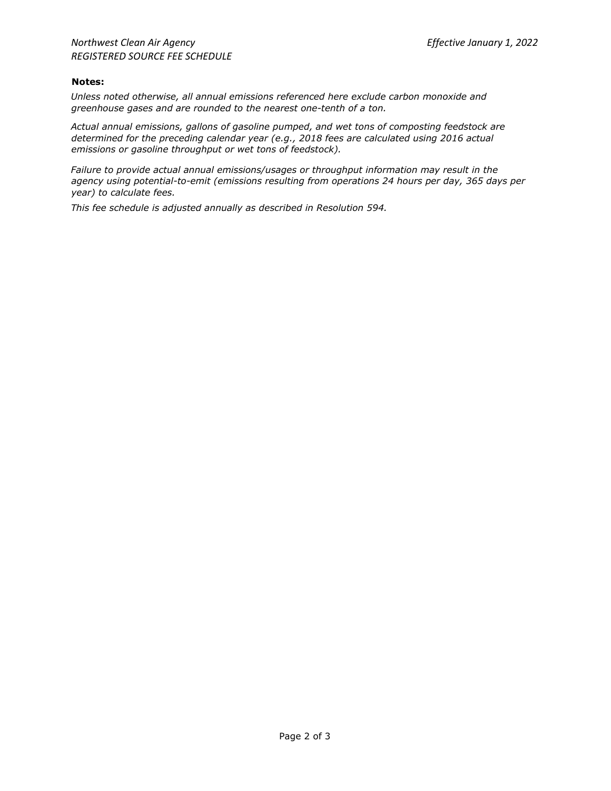#### **Notes:**

*Unless noted otherwise, all annual emissions referenced here exclude carbon monoxide and greenhouse gases and are rounded to the nearest one-tenth of a ton.*

*Actual annual emissions, gallons of gasoline pumped, and wet tons of composting feedstock are determined for the preceding calendar year (e.g., 2018 fees are calculated using 2016 actual emissions or gasoline throughput or wet tons of feedstock).*

*Failure to provide actual annual emissions/usages or throughput information may result in the agency using potential-to-emit (emissions resulting from operations 24 hours per day, 365 days per year) to calculate fees.*

*This fee schedule is adjusted annually as described in Resolution 594.*